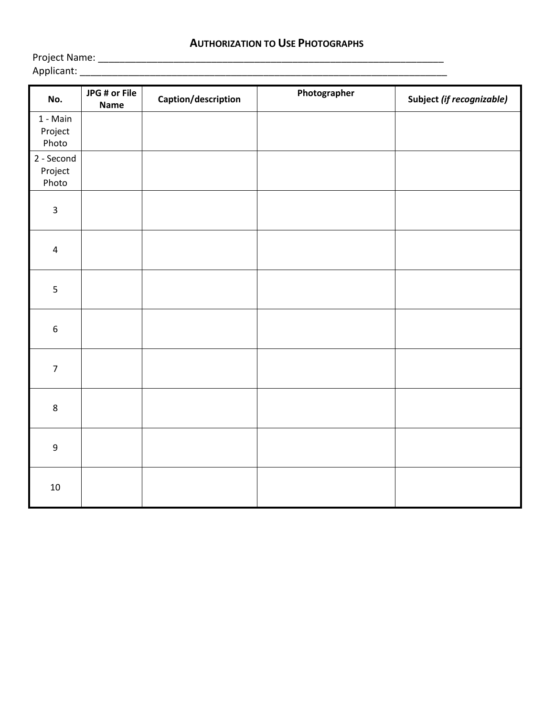## **AUTHORIZATION TO USE PHOTOGRAPHS**

Applicant: \_\_\_\_\_\_\_\_\_\_\_\_\_\_\_\_\_\_\_\_\_\_\_\_\_\_\_\_\_\_\_\_\_\_\_\_\_\_\_\_\_\_\_\_\_\_\_\_\_\_\_\_\_\_\_\_\_\_\_\_\_\_\_\_\_\_\_\_

Project Name: \_\_\_\_\_\_\_\_\_\_\_\_\_\_\_\_\_\_\_\_\_\_\_\_\_\_\_\_\_\_\_\_\_\_\_\_\_\_\_\_\_\_\_\_\_\_\_\_\_\_\_\_\_\_\_\_\_\_\_\_\_\_\_\_

| No.                            | JPG # or File | Caption/description | Photographer | Subject (if recognizable) |
|--------------------------------|---------------|---------------------|--------------|---------------------------|
| 1 - Main<br>Project<br>Photo   | <b>Name</b>   |                     |              |                           |
| 2 - Second<br>Project<br>Photo |               |                     |              |                           |
| $\mathbf{3}$                   |               |                     |              |                           |
| $\pmb{4}$                      |               |                     |              |                           |
| 5                              |               |                     |              |                           |
| $\boldsymbol{6}$               |               |                     |              |                           |
| $\overline{7}$                 |               |                     |              |                           |
| $\,8\,$                        |               |                     |              |                           |
| $\boldsymbol{9}$               |               |                     |              |                           |
| $10\,$                         |               |                     |              |                           |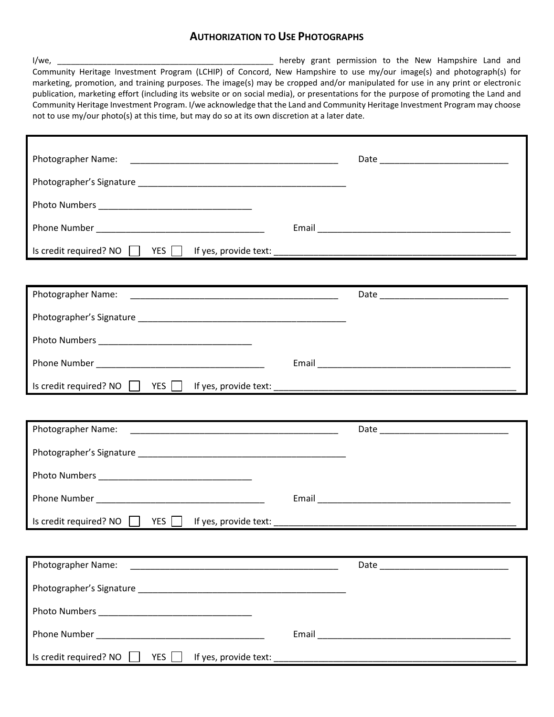## **AUTHORIZATION TO USE PHOTOGRAPHS**

| Community Heritage Investment Program (LCHIP) of Concord, New Hampshire to use my/our image(s) and photograph(s) for<br>marketing, promotion, and training purposes. The image(s) may be cropped and/or manipulated for use in any print or electronic<br>publication, marketing effort (including its website or on social media), or presentations for the purpose of promoting the Land and<br>Community Heritage Investment Program. I/we acknowledge that the Land and Community Heritage Investment Program may choose<br>not to use my/our photo(s) at this time, but may do so at its own discretion at a later date. | hereby grant permission to the New Hampshire Land and |
|-------------------------------------------------------------------------------------------------------------------------------------------------------------------------------------------------------------------------------------------------------------------------------------------------------------------------------------------------------------------------------------------------------------------------------------------------------------------------------------------------------------------------------------------------------------------------------------------------------------------------------|-------------------------------------------------------|
|                                                                                                                                                                                                                                                                                                                                                                                                                                                                                                                                                                                                                               |                                                       |
|                                                                                                                                                                                                                                                                                                                                                                                                                                                                                                                                                                                                                               |                                                       |
|                                                                                                                                                                                                                                                                                                                                                                                                                                                                                                                                                                                                                               |                                                       |
|                                                                                                                                                                                                                                                                                                                                                                                                                                                                                                                                                                                                                               |                                                       |
|                                                                                                                                                                                                                                                                                                                                                                                                                                                                                                                                                                                                                               |                                                       |
|                                                                                                                                                                                                                                                                                                                                                                                                                                                                                                                                                                                                                               |                                                       |
| Photographer Name:                                                                                                                                                                                                                                                                                                                                                                                                                                                                                                                                                                                                            |                                                       |
|                                                                                                                                                                                                                                                                                                                                                                                                                                                                                                                                                                                                                               |                                                       |
|                                                                                                                                                                                                                                                                                                                                                                                                                                                                                                                                                                                                                               |                                                       |
|                                                                                                                                                                                                                                                                                                                                                                                                                                                                                                                                                                                                                               |                                                       |
|                                                                                                                                                                                                                                                                                                                                                                                                                                                                                                                                                                                                                               |                                                       |
|                                                                                                                                                                                                                                                                                                                                                                                                                                                                                                                                                                                                                               |                                                       |
| Photographer Name:                                                                                                                                                                                                                                                                                                                                                                                                                                                                                                                                                                                                            |                                                       |
|                                                                                                                                                                                                                                                                                                                                                                                                                                                                                                                                                                                                                               |                                                       |
|                                                                                                                                                                                                                                                                                                                                                                                                                                                                                                                                                                                                                               |                                                       |
|                                                                                                                                                                                                                                                                                                                                                                                                                                                                                                                                                                                                                               |                                                       |
|                                                                                                                                                                                                                                                                                                                                                                                                                                                                                                                                                                                                                               |                                                       |
|                                                                                                                                                                                                                                                                                                                                                                                                                                                                                                                                                                                                                               |                                                       |
| Photographer Name:                                                                                                                                                                                                                                                                                                                                                                                                                                                                                                                                                                                                            |                                                       |
|                                                                                                                                                                                                                                                                                                                                                                                                                                                                                                                                                                                                                               |                                                       |
|                                                                                                                                                                                                                                                                                                                                                                                                                                                                                                                                                                                                                               |                                                       |
|                                                                                                                                                                                                                                                                                                                                                                                                                                                                                                                                                                                                                               |                                                       |
| Is credit required? NO TRES TRES TREADS TO THE VES PROVIDE LEASE.                                                                                                                                                                                                                                                                                                                                                                                                                                                                                                                                                             |                                                       |